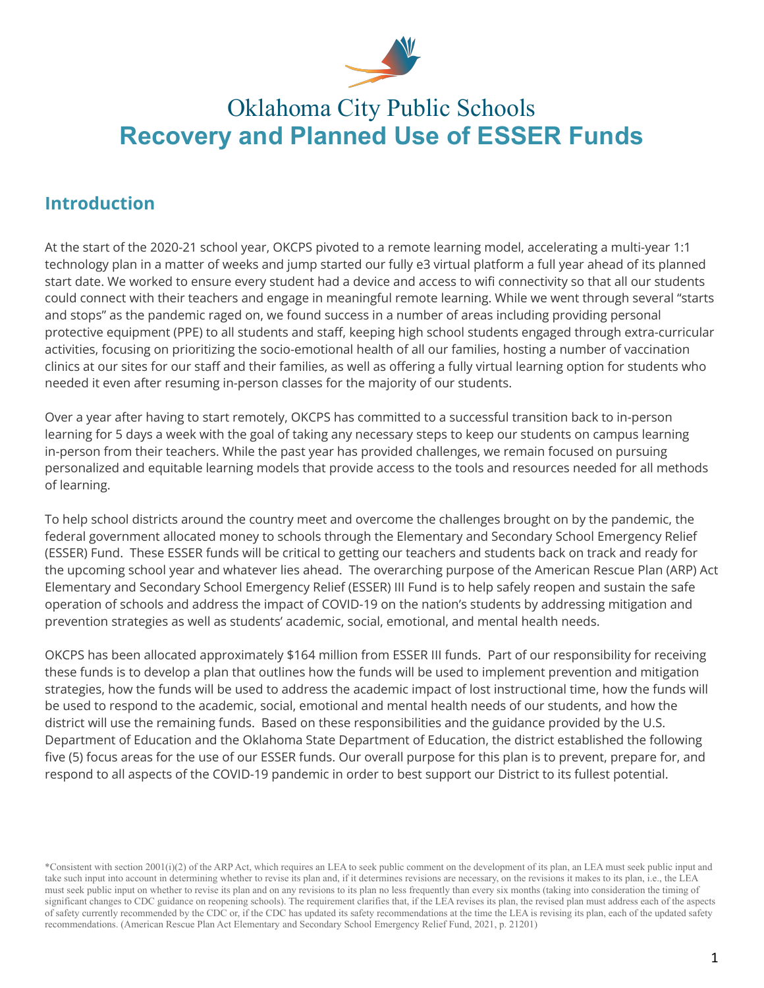

# Oklahoma City Public Schools **Recovery and Planned Use of ESSER Funds**

## **Introduction**

At the start of the 2020-21 school year, OKCPS pivoted to a remote learning model, accelerating a multi-year 1:1 technology plan in a matter of weeks and jump started our fully e3 virtual platform a full year ahead of its planned start date. We worked to ensure every student had a device and access to wifi connectivity so that all our students could connect with their teachers and engage in meaningful remote learning. While we went through several "starts and stops" as the pandemic raged on, we found success in a number of areas including providing personal protective equipment (PPE) to all students and staff, keeping high school students engaged through extra-curricular activities, focusing on prioritizing the socio-emotional health of all our families, hosting a number of vaccination clinics at our sites for our staff and their families, as well as offering a fully virtual learning option for students who needed it even after resuming in-person classes for the majority of our students.

Over a year after having to start remotely, OKCPS has committed to a successful transition back to in-person learning for 5 days a week with the goal of taking any necessary steps to keep our students on campus learning in-person from their teachers. While the past year has provided challenges, we remain focused on pursuing personalized and equitable learning models that provide access to the tools and resources needed for all methods of learning.

To help school districts around the country meet and overcome the challenges brought on by the pandemic, the federal government allocated money to schools through the Elementary and Secondary School Emergency Relief (ESSER) Fund. These ESSER funds will be critical to getting our teachers and students back on track and ready for the upcoming school year and whatever lies ahead. The overarching purpose of the American Rescue Plan (ARP) Act Elementary and Secondary School Emergency Relief (ESSER) III Fund is to help safely reopen and sustain the safe operation of schools and address the impact of COVID-19 on the nation's students by addressing mitigation and prevention strategies as well as students' academic, social, emotional, and mental health needs.

OKCPS has been allocated approximately \$164 million from ESSER III funds. Part of our responsibility for receiving these funds is to develop a plan that outlines how the funds will be used to implement prevention and mitigation strategies, how the funds will be used to address the academic impact of lost instructional time, how the funds will be used to respond to the academic, social, emotional and mental health needs of our students, and how the district will use the remaining funds. Based on these responsibilities and the guidance provided by the U.S. Department of Education and the Oklahoma State Department of Education, the district established the following five (5) focus areas for the use of our ESSER funds. Our overall purpose for this plan is to prevent, prepare for, and respond to all aspects of the COVID-19 pandemic in order to best support our District to its fullest potential.

\*Consistent with section 2001(i)(2) of the ARP Act, which requires an LEA to seek public comment on the development of its plan, an LEA must seek public input and take such input into account in determining whether to revise its plan and, if it determines revisions are necessary, on the revisions it makes to its plan, i.e., the LEA must seek public input on whether to revise its plan and on any revisions to its plan no less frequently than every six months (taking into consideration the timing of significant changes to CDC guidance on reopening schools). The requirement clarifies that, if the LEA revises its plan, the revised plan must address each of the aspects of safety currently recommended by the CDC or, if the CDC has updated its safety recommendations at the time the LEA is revising its plan, each of the updated safety recommendations. (American Rescue Plan Act Elementary and Secondary School Emergency Relief Fund, 2021, p. 21201)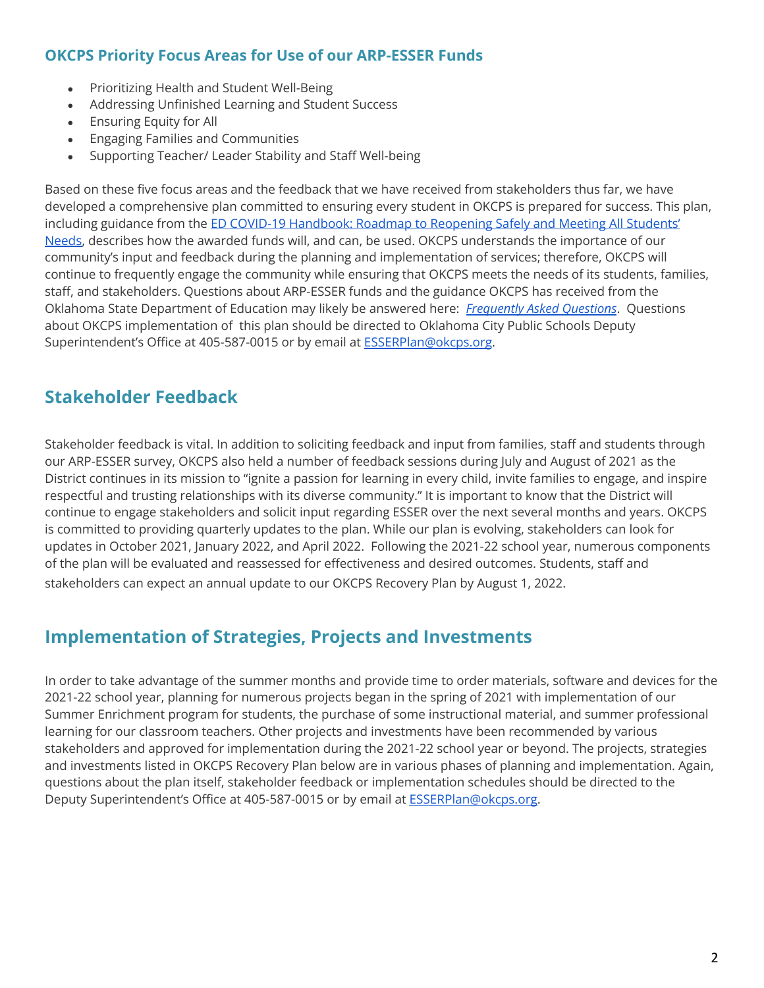#### **OKCPS Priority Focus Areas for Use of our ARP-ESSER Funds**

- Prioritizing Health and Student Well-Being
- Addressing Unfinished Learning and Student Success
- Ensuring Equity for All
- Engaging Families and Communities
- Supporting Teacher/ Leader Stability and Staff Well-being

Based on these five focus areas and the feedback that we have received from stakeholders thus far, we have developed a comprehensive plan committed to ensuring every student in OKCPS is prepared for success. This plan, including guidance from the ED COVID-19 [Handbook:](https://www2.ed.gov/documents/coronavirus/reopening-2.pdf) Roadmap to Reopening Safely and Meeting All Students' [Needs,](https://www2.ed.gov/documents/coronavirus/reopening-2.pdf) describes how the awarded funds will, and can, be used. OKCPS understands the importance of our community's input and feedback during the planning and implementation of services; therefore, OKCPS will continue to frequently engage the community while ensuring that OKCPS meets the needs of its students, families, staff, and stakeholders. Questions about ARP-ESSER funds and the guidance OKCPS has received from the Oklahoma State Department of Education may likely be answered here: *[Frequently](https://sde.ok.gov/sites/default/files/documents/files/American%20Rescue%20Plan%20Elementary%20and%20Secondary%20Education%20Relief%20Fund%20FAQs%20May%2019%202021.pdf) Asked Questions*. Questions about OKCPS implementation of this plan should be directed to Oklahoma City Public Schools Deputy Superintendent's Office at 405-587-0015 or by email at **[ESSERPlan@okcps.org](mailto:ESSERPlan@okcps.org)**.

#### **Stakeholder Feedback**

Stakeholder feedback is vital. In addition to soliciting feedback and input from families, staff and students through our ARP-ESSER survey, OKCPS also held a number of feedback sessions during July and August of 2021 as the District continues in its mission to "ignite a passion for learning in every child, invite families to engage, and inspire respectful and trusting relationships with its diverse community." It is important to know that the District will continue to engage stakeholders and solicit input regarding ESSER over the next several months and years. OKCPS is committed to providing quarterly updates to the plan. While our plan is evolving, stakeholders can look for updates in October 2021, January 2022, and April 2022. Following the 2021-22 school year, numerous components of the plan will be evaluated and reassessed for effectiveness and desired outcomes. Students, staff and stakeholders can expect an annual update to our OKCPS Recovery Plan by August 1, 2022.

#### **Implementation of Strategies, Projects and Investments**

In order to take advantage of the summer months and provide time to order materials, software and devices for the 2021-22 school year, planning for numerous projects began in the spring of 2021 with implementation of our Summer Enrichment program for students, the purchase of some instructional material, and summer professional learning for our classroom teachers. Other projects and investments have been recommended by various stakeholders and approved for implementation during the 2021-22 school year or beyond. The projects, strategies and investments listed in OKCPS Recovery Plan below are in various phases of planning and implementation. Again, questions about the plan itself, stakeholder feedback or implementation schedules should be directed to the Deputy Superintendent's Office at 405-587-0015 or by email at [ESSERPlan@okcps.org.](mailto:ESSERPlan@okcps.org)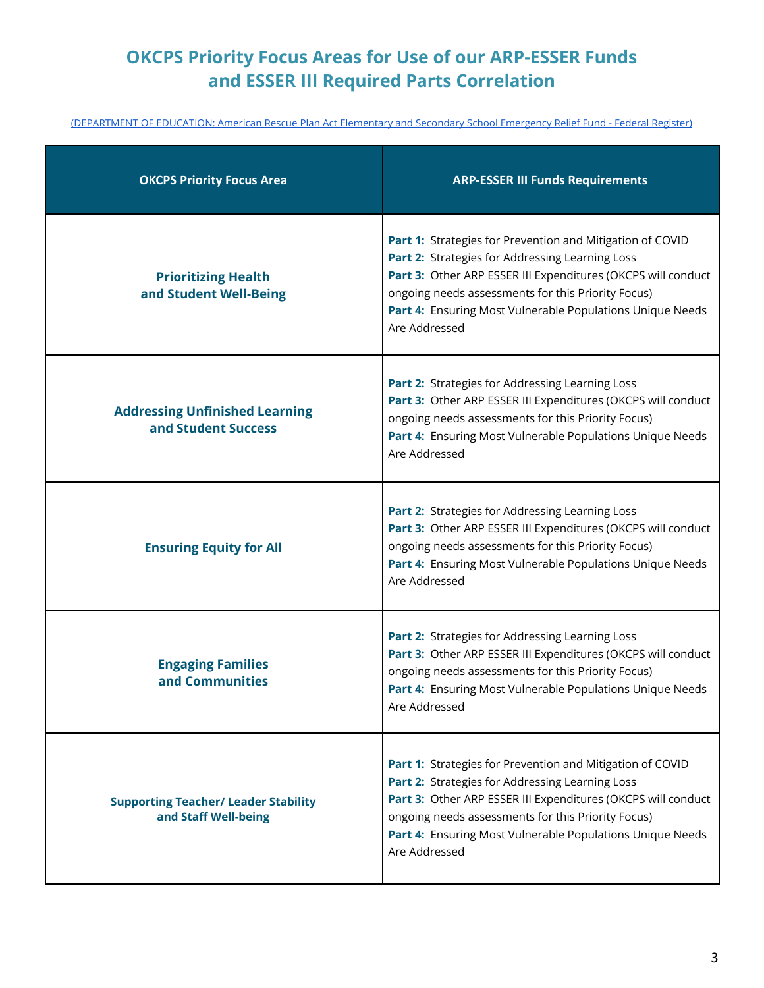# **OKCPS Priority Focus Areas for Use of our ARP-ESSER Funds and ESSER III Required Parts Correlation**

[\(DEPARTMENT](https://www.govinfo.gov/content/pkg/FR-2021-04-22/pdf/2021-08359.pdf) OF EDUCATION: American Rescue Plan Act Elementary and Secondary School Emergency Relief Fund - Federal Register)

| <b>OKCPS Priority Focus Area</b>                                    | <b>ARP-ESSER III Funds Requirements</b>                                                                                                                                                                                                                                                                          |
|---------------------------------------------------------------------|------------------------------------------------------------------------------------------------------------------------------------------------------------------------------------------------------------------------------------------------------------------------------------------------------------------|
| <b>Prioritizing Health</b><br>and Student Well-Being                | Part 1: Strategies for Prevention and Mitigation of COVID<br>Part 2: Strategies for Addressing Learning Loss<br>Part 3: Other ARP ESSER III Expenditures (OKCPS will conduct<br>ongoing needs assessments for this Priority Focus)<br>Part 4: Ensuring Most Vulnerable Populations Unique Needs<br>Are Addressed |
| <b>Addressing Unfinished Learning</b><br>and Student Success        | Part 2: Strategies for Addressing Learning Loss<br>Part 3: Other ARP ESSER III Expenditures (OKCPS will conduct<br>ongoing needs assessments for this Priority Focus)<br>Part 4: Ensuring Most Vulnerable Populations Unique Needs<br>Are Addressed                                                              |
| <b>Ensuring Equity for All</b>                                      | Part 2: Strategies for Addressing Learning Loss<br>Part 3: Other ARP ESSER III Expenditures (OKCPS will conduct<br>ongoing needs assessments for this Priority Focus)<br>Part 4: Ensuring Most Vulnerable Populations Unique Needs<br>Are Addressed                                                              |
| <b>Engaging Families</b><br>and Communities                         | Part 2: Strategies for Addressing Learning Loss<br>Part 3: Other ARP ESSER III Expenditures (OKCPS will conduct<br>ongoing needs assessments for this Priority Focus)<br>Part 4: Ensuring Most Vulnerable Populations Unique Needs<br>Are Addressed                                                              |
| <b>Supporting Teacher/ Leader Stability</b><br>and Staff Well-being | Part 1: Strategies for Prevention and Mitigation of COVID<br>Part 2: Strategies for Addressing Learning Loss<br>Part 3: Other ARP ESSER III Expenditures (OKCPS will conduct<br>ongoing needs assessments for this Priority Focus)<br>Part 4: Ensuring Most Vulnerable Populations Unique Needs<br>Are Addressed |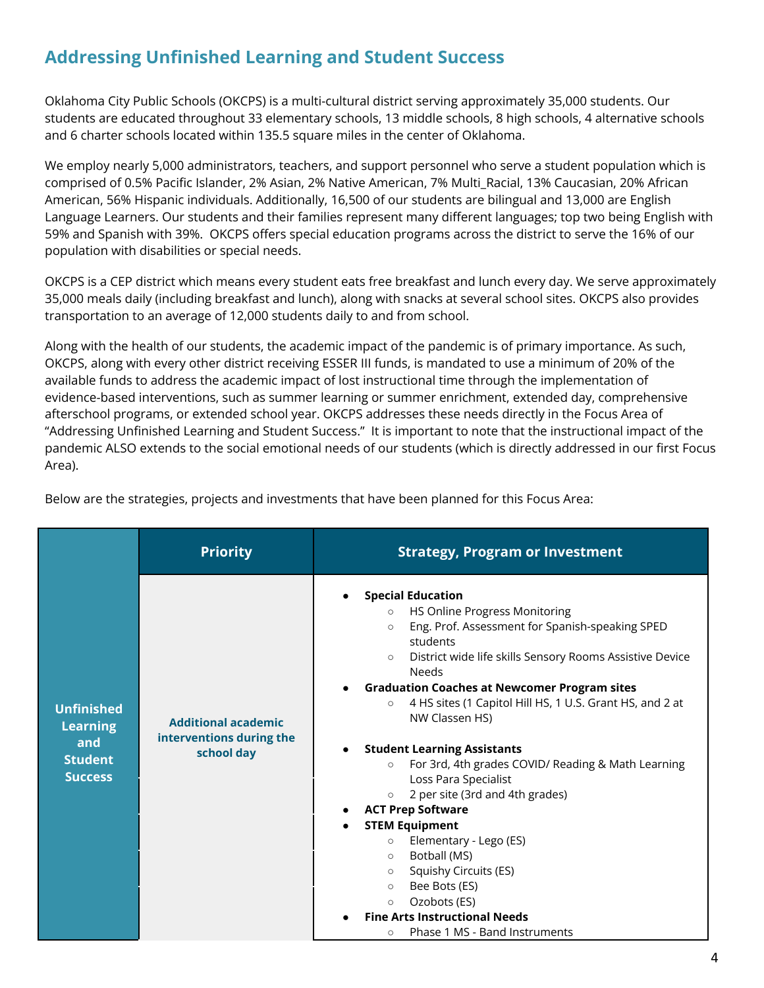## **Addressing Unfinished Learning and Student Success**

Oklahoma City Public Schools (OKCPS) is a multi-cultural district serving approximately 35,000 students. Our students are educated throughout 33 elementary schools, 13 middle schools, 8 high schools, 4 alternative schools and 6 charter schools located within 135.5 square miles in the center of Oklahoma.

We employ nearly 5,000 administrators, teachers, and support personnel who serve a student population which is comprised of 0.5% Pacific Islander, 2% Asian, 2% Native American, 7% Multi\_Racial, 13% Caucasian, 20% African American, 56% Hispanic individuals. Additionally, 16,500 of our students are bilingual and 13,000 are English Language Learners. Our students and their families represent many different languages; top two being English with 59% and Spanish with 39%. OKCPS offers special education programs across the district to serve the 16% of our population with disabilities or special needs.

OKCPS is a CEP district which means every student eats free breakfast and lunch every day. We serve approximately 35,000 meals daily (including breakfast and lunch), along with snacks at several school sites. OKCPS also provides transportation to an average of 12,000 students daily to and from school.

Along with the health of our students, the academic impact of the pandemic is of primary importance. As such, OKCPS, along with every other district receiving ESSER III funds, is mandated to use a minimum of 20% of the available funds to address the academic impact of lost instructional time through the implementation of evidence-based interventions, such as summer learning or summer enrichment, extended day, comprehensive afterschool programs, or extended school year. OKCPS addresses these needs directly in the Focus Area of "Addressing Unfinished Learning and Student Success." It is important to note that the instructional impact of the pandemic ALSO extends to the social emotional needs of our students (which is directly addressed in our first Focus Area).

|                                                                                 | <b>Priority</b>                                                      | <b>Strategy, Program or Investment</b>                                                                                                                                                                                                                                                                                                                                                                                                                                                                                                                                                                                                                                                                                                                                                                                                                                 |
|---------------------------------------------------------------------------------|----------------------------------------------------------------------|------------------------------------------------------------------------------------------------------------------------------------------------------------------------------------------------------------------------------------------------------------------------------------------------------------------------------------------------------------------------------------------------------------------------------------------------------------------------------------------------------------------------------------------------------------------------------------------------------------------------------------------------------------------------------------------------------------------------------------------------------------------------------------------------------------------------------------------------------------------------|
| <b>Unfinished</b><br><b>Learning</b><br>and<br><b>Student</b><br><b>Success</b> | <b>Additional academic</b><br>interventions during the<br>school day | <b>Special Education</b><br>HS Online Progress Monitoring<br>$\circ$<br>Eng. Prof. Assessment for Spanish-speaking SPED<br>$\circ$<br>students<br>District wide life skills Sensory Rooms Assistive Device<br>$\circ$<br>Needs<br><b>Graduation Coaches at Newcomer Program sites</b><br>$\bullet$<br>4 HS sites (1 Capitol Hill HS, 1 U.S. Grant HS, and 2 at<br>$\circ$<br>NW Classen HS)<br><b>Student Learning Assistants</b><br>For 3rd, 4th grades COVID/ Reading & Math Learning<br>$\circ$<br>Loss Para Specialist<br>2 per site (3rd and 4th grades)<br>$\circ$<br><b>ACT Prep Software</b><br><b>STEM Equipment</b><br>Elementary - Lego (ES)<br>$\circ$<br>Botball (MS)<br>$\circ$<br>Squishy Circuits (ES)<br>$\circ$<br>Bee Bots (ES)<br>$\circ$<br>Ozobots (ES)<br>$\circ$<br><b>Fine Arts Instructional Needs</b><br>Phase 1 MS - Band Instruments<br>O |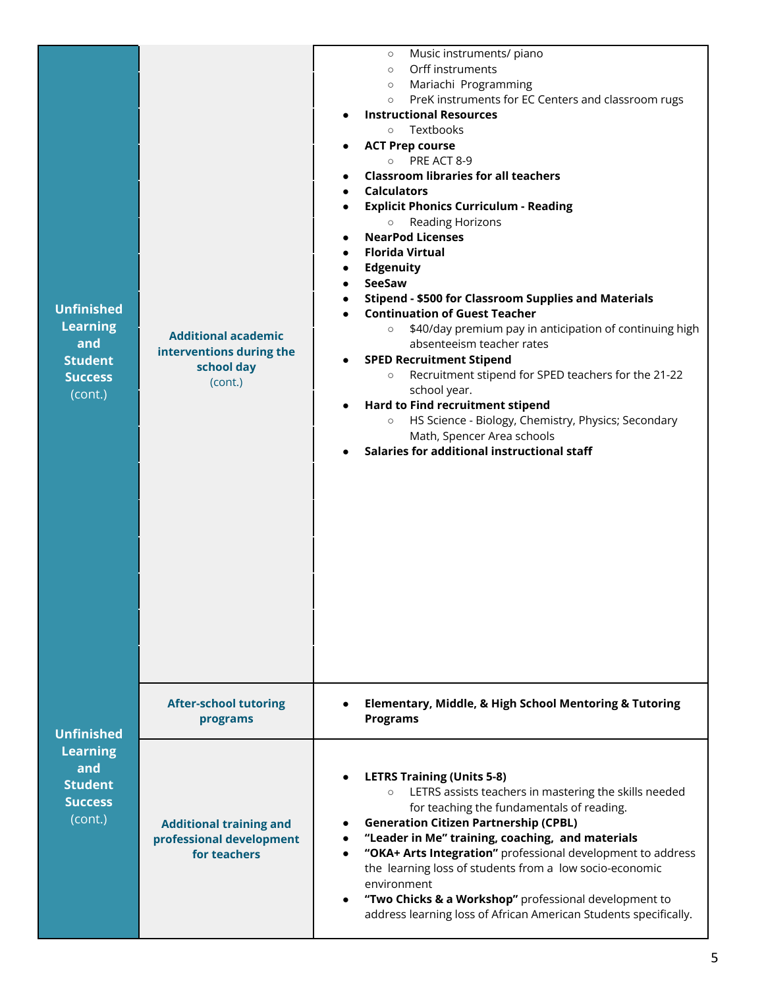| <b>Unfinished</b><br><b>Learning</b><br>and<br><b>Student</b><br><b>Success</b><br>(cont.) | <b>Additional academic</b><br>interventions during the<br>school day<br>(cont.) | Music instruments/ piano<br>$\circ$<br>Orff instruments<br>$\circ$<br>Mariachi Programming<br>$\circ$<br>PreK instruments for EC Centers and classroom rugs<br>$\circ$<br><b>Instructional Resources</b><br>Textbooks<br>$\circ$<br><b>ACT Prep course</b><br>PRE ACT 8-9<br>$\circ$<br><b>Classroom libraries for all teachers</b><br><b>Calculators</b><br><b>Explicit Phonics Curriculum - Reading</b><br>Reading Horizons<br>$\circ$<br><b>NearPod Licenses</b><br><b>Florida Virtual</b><br><b>Edgenuity</b><br>SeeSaw<br><b>Stipend - \$500 for Classroom Supplies and Materials</b><br><b>Continuation of Guest Teacher</b><br>\$40/day premium pay in anticipation of continuing high<br>$\circ$<br>absenteeism teacher rates<br><b>SPED Recruitment Stipend</b><br>Recruitment stipend for SPED teachers for the 21-22<br>$\circ$<br>school year.<br>Hard to Find recruitment stipend<br>HS Science - Biology, Chemistry, Physics; Secondary<br>$\circ$<br>Math, Spencer Area schools<br>Salaries for additional instructional staff |
|--------------------------------------------------------------------------------------------|---------------------------------------------------------------------------------|-----------------------------------------------------------------------------------------------------------------------------------------------------------------------------------------------------------------------------------------------------------------------------------------------------------------------------------------------------------------------------------------------------------------------------------------------------------------------------------------------------------------------------------------------------------------------------------------------------------------------------------------------------------------------------------------------------------------------------------------------------------------------------------------------------------------------------------------------------------------------------------------------------------------------------------------------------------------------------------------------------------------------------------------------|
| <b>Unfinished</b>                                                                          | <b>After-school tutoring</b><br>programs                                        | <b>Elementary, Middle, &amp; High School Mentoring &amp; Tutoring</b><br><b>Programs</b>                                                                                                                                                                                                                                                                                                                                                                                                                                                                                                                                                                                                                                                                                                                                                                                                                                                                                                                                                      |
| <b>Learning</b><br>and<br><b>Student</b><br><b>Success</b><br>(cont.)                      | <b>Additional training and</b><br>professional development<br>for teachers      | <b>LETRS Training (Units 5-8)</b><br>LETRS assists teachers in mastering the skills needed<br>for teaching the fundamentals of reading.<br><b>Generation Citizen Partnership (CPBL)</b><br>"Leader in Me" training, coaching, and materials<br>"OKA+ Arts Integration" professional development to address<br>the learning loss of students from a low socio-economic<br>environment<br>"Two Chicks & a Workshop" professional development to<br>address learning loss of African American Students specifically.                                                                                                                                                                                                                                                                                                                                                                                                                                                                                                                             |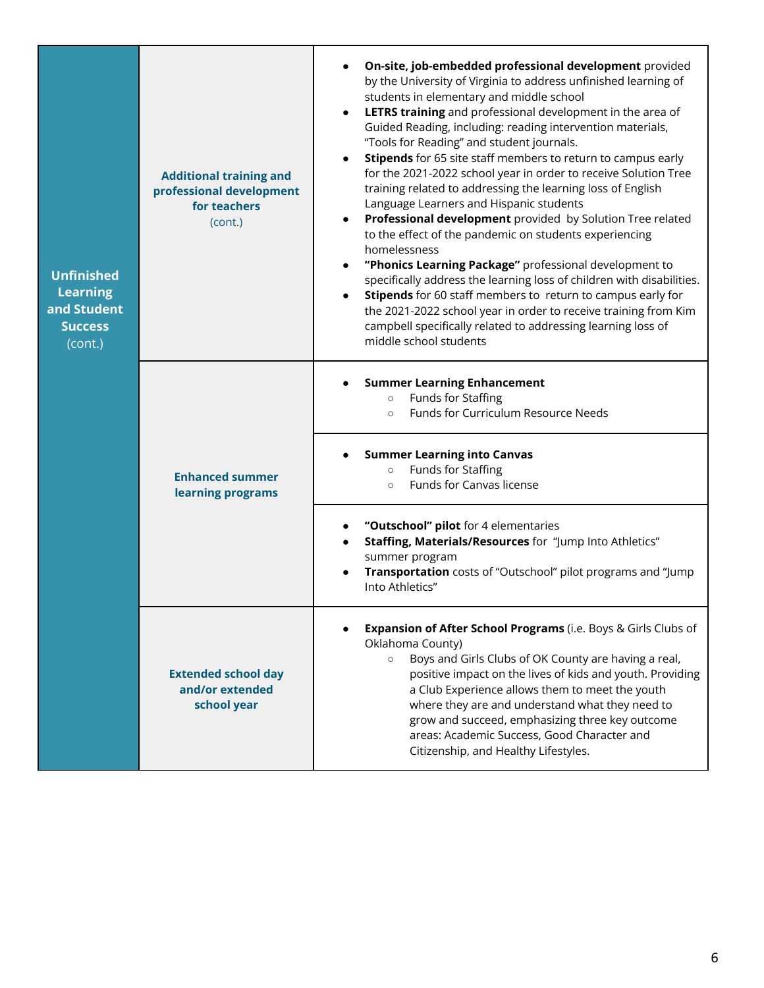| <b>Unfinished</b><br><b>Learning</b><br>and Student<br><b>Success</b><br>(cont.) | <b>Additional training and</b><br>professional development<br>for teachers<br>(cont.) | On-site, job-embedded professional development provided<br>by the University of Virginia to address unfinished learning of<br>students in elementary and middle school<br>LETRS training and professional development in the area of<br>Guided Reading, including: reading intervention materials,<br>"Tools for Reading" and student journals.<br>Stipends for 65 site staff members to return to campus early<br>for the 2021-2022 school year in order to receive Solution Tree<br>training related to addressing the learning loss of English<br>Language Learners and Hispanic students<br>Professional development provided by Solution Tree related<br>$\bullet$<br>to the effect of the pandemic on students experiencing<br>homelessness<br>"Phonics Learning Package" professional development to<br>$\bullet$<br>specifically address the learning loss of children with disabilities.<br>Stipends for 60 staff members to return to campus early for<br>$\bullet$<br>the 2021-2022 school year in order to receive training from Kim<br>campbell specifically related to addressing learning loss of<br>middle school students |
|----------------------------------------------------------------------------------|---------------------------------------------------------------------------------------|--------------------------------------------------------------------------------------------------------------------------------------------------------------------------------------------------------------------------------------------------------------------------------------------------------------------------------------------------------------------------------------------------------------------------------------------------------------------------------------------------------------------------------------------------------------------------------------------------------------------------------------------------------------------------------------------------------------------------------------------------------------------------------------------------------------------------------------------------------------------------------------------------------------------------------------------------------------------------------------------------------------------------------------------------------------------------------------------------------------------------------------------|
|                                                                                  |                                                                                       | <b>Summer Learning Enhancement</b><br>Funds for Staffing<br>$\circ$<br>Funds for Curriculum Resource Needs<br>$\circ$                                                                                                                                                                                                                                                                                                                                                                                                                                                                                                                                                                                                                                                                                                                                                                                                                                                                                                                                                                                                                      |
|                                                                                  | <b>Enhanced summer</b><br>learning programs                                           | <b>Summer Learning into Canvas</b><br>Funds for Staffing<br>$\circ$<br>Funds for Canvas license<br>$\circ$                                                                                                                                                                                                                                                                                                                                                                                                                                                                                                                                                                                                                                                                                                                                                                                                                                                                                                                                                                                                                                 |
|                                                                                  |                                                                                       | "Outschool" pilot for 4 elementaries<br>Staffing, Materials/Resources for "Jump Into Athletics"<br>summer program<br>Transportation costs of "Outschool" pilot programs and "Jump<br>Into Athletics"                                                                                                                                                                                                                                                                                                                                                                                                                                                                                                                                                                                                                                                                                                                                                                                                                                                                                                                                       |
|                                                                                  | <b>Extended school day</b><br>and/or extended<br>school year                          | Expansion of After School Programs (i.e. Boys & Girls Clubs of<br>Oklahoma County)<br>Boys and Girls Clubs of OK County are having a real,<br>positive impact on the lives of kids and youth. Providing<br>a Club Experience allows them to meet the youth<br>where they are and understand what they need to<br>grow and succeed, emphasizing three key outcome<br>areas: Academic Success, Good Character and<br>Citizenship, and Healthy Lifestyles.                                                                                                                                                                                                                                                                                                                                                                                                                                                                                                                                                                                                                                                                                    |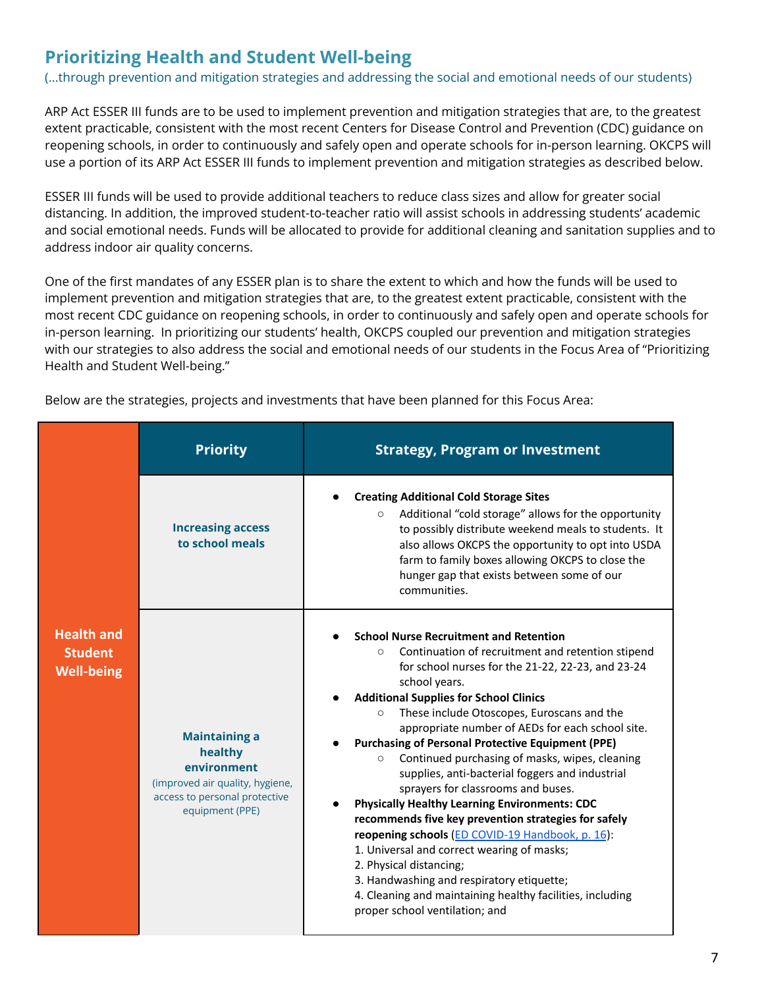## **Prioritizing Health and Student Well-being**

(...through prevention and mitigation strategies and addressing the social and emotional needs of our students)

ARP Act ESSER III funds are to be used to implement prevention and mitigation strategies that are, to the greatest extent practicable, consistent with the most recent Centers for Disease Control and Prevention (CDC) guidance on reopening schools, in order to continuously and safely open and operate schools for in-person learning. OKCPS will use a portion of its ARP Act ESSER III funds to implement prevention and mitigation strategies as described below.

ESSER III funds will be used to provide additional teachers to reduce class sizes and allow for greater social distancing. In addition, the improved student-to-teacher ratio will assist schools in addressing students' academic and social emotional needs. Funds will be allocated to provide for additional cleaning and sanitation supplies and to address indoor air quality concerns.

One of the first mandates of any ESSER plan is to share the extent to which and how the funds will be used to implement prevention and mitigation strategies that are, to the greatest extent practicable, consistent with the most recent CDC guidance on reopening schools, in order to continuously and safely open and operate schools for in-person learning. In prioritizing our students' health, OKCPS coupled our prevention and mitigation strategies with our strategies to also address the social and emotional needs of our students in the Focus Area of "Prioritizing Health and Student Well-being."

|                                                          | <b>Priority</b>                                                                                                                       | <b>Strategy, Program or Investment</b>                                                                                                                                                                                                                                                                                                                                                                                                                                                                                                                                                                                                                                                                                                                                                                                                                                                                                                                       |
|----------------------------------------------------------|---------------------------------------------------------------------------------------------------------------------------------------|--------------------------------------------------------------------------------------------------------------------------------------------------------------------------------------------------------------------------------------------------------------------------------------------------------------------------------------------------------------------------------------------------------------------------------------------------------------------------------------------------------------------------------------------------------------------------------------------------------------------------------------------------------------------------------------------------------------------------------------------------------------------------------------------------------------------------------------------------------------------------------------------------------------------------------------------------------------|
|                                                          | <b>Increasing access</b><br>to school meals                                                                                           | <b>Creating Additional Cold Storage Sites</b><br>Additional "cold storage" allows for the opportunity<br>$\circ$<br>to possibly distribute weekend meals to students. It<br>also allows OKCPS the opportunity to opt into USDA<br>farm to family boxes allowing OKCPS to close the<br>hunger gap that exists between some of our<br>communities.                                                                                                                                                                                                                                                                                                                                                                                                                                                                                                                                                                                                             |
| <b>Health and</b><br><b>Student</b><br><b>Well-being</b> | <b>Maintaining a</b><br>healthy<br>environment<br>(improved air quality, hygiene,<br>access to personal protective<br>equipment (PPE) | <b>School Nurse Recruitment and Retention</b><br>Continuation of recruitment and retention stipend<br>$\circ$<br>for school nurses for the 21-22, 22-23, and 23-24<br>school years.<br><b>Additional Supplies for School Clinics</b><br>These include Otoscopes, Euroscans and the<br>$\circ$<br>appropriate number of AEDs for each school site.<br><b>Purchasing of Personal Protective Equipment (PPE)</b><br>Continued purchasing of masks, wipes, cleaning<br>$\circ$<br>supplies, anti-bacterial foggers and industrial<br>sprayers for classrooms and buses.<br><b>Physically Healthy Learning Environments: CDC</b><br>recommends five key prevention strategies for safely<br>reopening schools (ED COVID-19 Handbook, p. 16):<br>1. Universal and correct wearing of masks;<br>2. Physical distancing;<br>3. Handwashing and respiratory etiquette;<br>4. Cleaning and maintaining healthy facilities, including<br>proper school ventilation; and |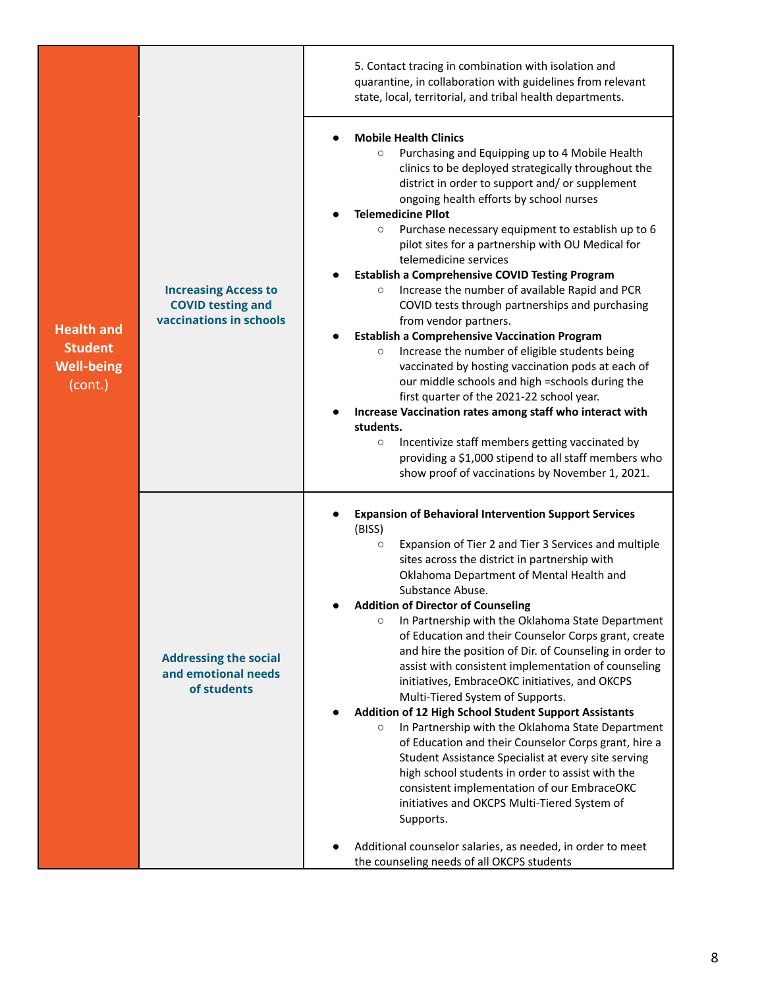|                                                                     |                                                                                    | quarantine, in collaboration with guidelines from relevant<br>state, local, territorial, and tribal health departments.                                                                                                                                                                                                                                                                                                                                                                                                                                                                                                                                                                                                                                                                                                                                                                                                                                                                                                                                                                                                                                     |
|---------------------------------------------------------------------|------------------------------------------------------------------------------------|-------------------------------------------------------------------------------------------------------------------------------------------------------------------------------------------------------------------------------------------------------------------------------------------------------------------------------------------------------------------------------------------------------------------------------------------------------------------------------------------------------------------------------------------------------------------------------------------------------------------------------------------------------------------------------------------------------------------------------------------------------------------------------------------------------------------------------------------------------------------------------------------------------------------------------------------------------------------------------------------------------------------------------------------------------------------------------------------------------------------------------------------------------------|
| <b>Health and</b><br><b>Student</b><br><b>Well-being</b><br>(cont.) | <b>Increasing Access to</b><br><b>COVID testing and</b><br>vaccinations in schools | <b>Mobile Health Clinics</b><br>Purchasing and Equipping up to 4 Mobile Health<br>$\circ$<br>clinics to be deployed strategically throughout the<br>district in order to support and/ or supplement<br>ongoing health efforts by school nurses<br><b>Telemedicine PIlot</b><br>Purchase necessary equipment to establish up to 6<br>$\circ$<br>pilot sites for a partnership with OU Medical for<br>telemedicine services<br><b>Establish a Comprehensive COVID Testing Program</b><br>Increase the number of available Rapid and PCR<br>$\circ$<br>COVID tests through partnerships and purchasing<br>from vendor partners.<br><b>Establish a Comprehensive Vaccination Program</b><br>Increase the number of eligible students being<br>$\circ$<br>vaccinated by hosting vaccination pods at each of<br>our middle schools and high =schools during the<br>first quarter of the 2021-22 school year.<br>Increase Vaccination rates among staff who interact with<br>students.<br>Incentivize staff members getting vaccinated by<br>$\circ$<br>providing a \$1,000 stipend to all staff members who<br>show proof of vaccinations by November 1, 2021.    |
|                                                                     | <b>Addressing the social</b><br>and emotional needs<br>of students                 | <b>Expansion of Behavioral Intervention Support Services</b><br>(BISS)<br>Expansion of Tier 2 and Tier 3 Services and multiple<br>$\circ$<br>sites across the district in partnership with<br>Oklahoma Department of Mental Health and<br>Substance Abuse.<br><b>Addition of Director of Counseling</b><br>In Partnership with the Oklahoma State Department<br>$\circ$<br>of Education and their Counselor Corps grant, create<br>and hire the position of Dir. of Counseling in order to<br>assist with consistent implementation of counseling<br>initiatives, EmbraceOKC initiatives, and OKCPS<br>Multi-Tiered System of Supports.<br>Addition of 12 High School Student Support Assistants<br>In Partnership with the Oklahoma State Department<br>$\circ$<br>of Education and their Counselor Corps grant, hire a<br>Student Assistance Specialist at every site serving<br>high school students in order to assist with the<br>consistent implementation of our EmbraceOKC<br>initiatives and OKCPS Multi-Tiered System of<br>Supports.<br>Additional counselor salaries, as needed, in order to meet<br>the counseling needs of all OKCPS students |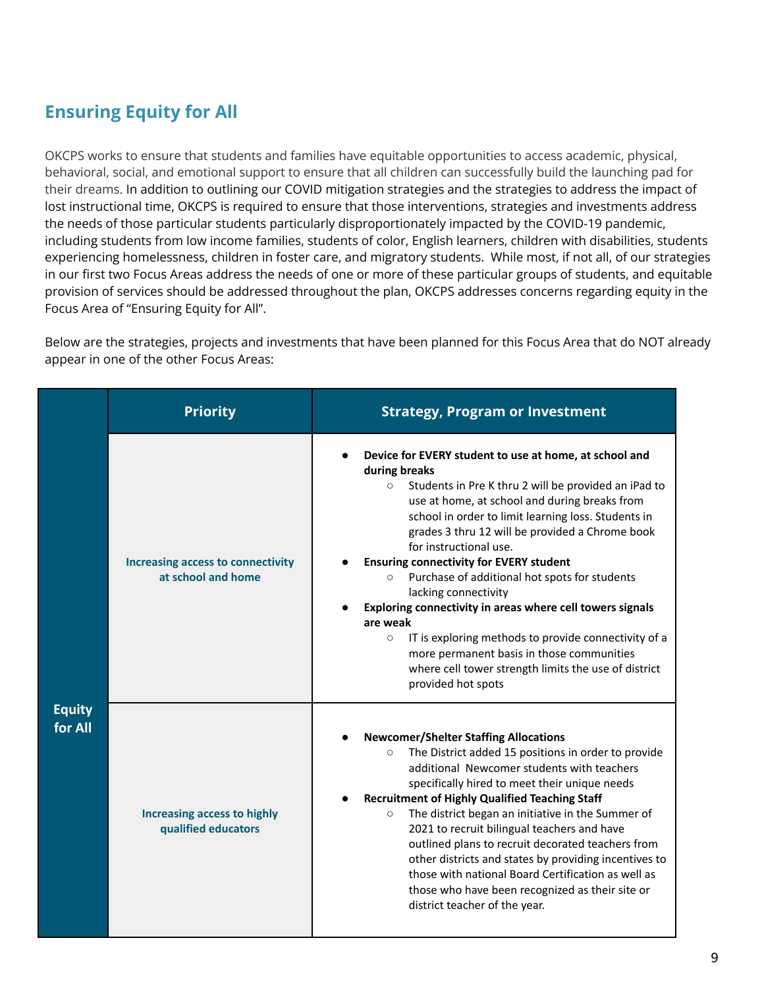### **Ensuring Equity for All**

OKCPS works to ensure that students and families have equitable opportunities to access academic, physical, behavioral, social, and emotional support to ensure that all children can successfully build the launching pad for their dreams. In addition to outlining our COVID mitigation strategies and the strategies to address the impact of lost instructional time, OKCPS is required to ensure that those interventions, strategies and investments address the needs of those particular students particularly disproportionately impacted by the COVID-19 pandemic, including students from low income families, students of color, English learners, children with disabilities, students experiencing homelessness, children in foster care, and migratory students. While most, if not all, of our strategies in our first two Focus Areas address the needs of one or more of these particular groups of students, and equitable provision of services should be addressed throughout the plan, OKCPS addresses concerns regarding equity in the Focus Area of "Ensuring Equity for All".

Below are the strategies, projects and investments that have been planned for this Focus Area that do NOT already appear in one of the other Focus Areas:

|                          | <b>Priority</b>                                                | <b>Strategy, Program or Investment</b>                                                                                                                                                                                                                                                                                                                                                                                                                                                                                                                                                                                                                                                                                                       |
|--------------------------|----------------------------------------------------------------|----------------------------------------------------------------------------------------------------------------------------------------------------------------------------------------------------------------------------------------------------------------------------------------------------------------------------------------------------------------------------------------------------------------------------------------------------------------------------------------------------------------------------------------------------------------------------------------------------------------------------------------------------------------------------------------------------------------------------------------------|
| <b>Equity</b><br>for All | <b>Increasing access to connectivity</b><br>at school and home | Device for EVERY student to use at home, at school and<br>during breaks<br>Students in Pre K thru 2 will be provided an iPad to<br>$\circ$<br>use at home, at school and during breaks from<br>school in order to limit learning loss. Students in<br>grades 3 thru 12 will be provided a Chrome book<br>for instructional use.<br><b>Ensuring connectivity for EVERY student</b><br>Purchase of additional hot spots for students<br>$\circ$<br>lacking connectivity<br>Exploring connectivity in areas where cell towers signals<br>are weak<br>IT is exploring methods to provide connectivity of a<br>$\circ$<br>more permanent basis in those communities<br>where cell tower strength limits the use of district<br>provided hot spots |
|                          | <b>Increasing access to highly</b><br>qualified educators      | <b>Newcomer/Shelter Staffing Allocations</b><br>The District added 15 positions in order to provide<br>$\circ$<br>additional Newcomer students with teachers<br>specifically hired to meet their unique needs<br><b>Recruitment of Highly Qualified Teaching Staff</b><br>The district began an initiative in the Summer of<br>$\circ$<br>2021 to recruit bilingual teachers and have<br>outlined plans to recruit decorated teachers from<br>other districts and states by providing incentives to<br>those with national Board Certification as well as<br>those who have been recognized as their site or<br>district teacher of the year.                                                                                                |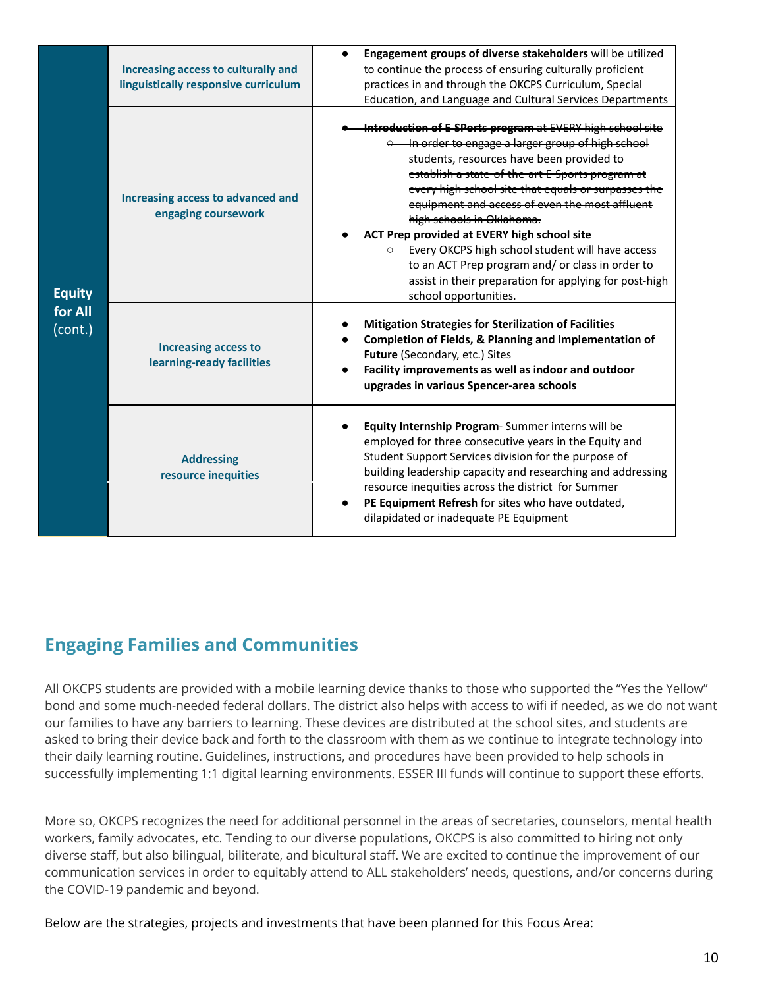|                                     | Increasing access to culturally and<br>linguistically responsive curriculum | Engagement groups of diverse stakeholders will be utilized<br>$\bullet$<br>to continue the process of ensuring culturally proficient<br>practices in and through the OKCPS Curriculum, Special<br>Education, and Language and Cultural Services Departments                                                                                                                                                                                                                                                                                                                                                  |
|-------------------------------------|-----------------------------------------------------------------------------|--------------------------------------------------------------------------------------------------------------------------------------------------------------------------------------------------------------------------------------------------------------------------------------------------------------------------------------------------------------------------------------------------------------------------------------------------------------------------------------------------------------------------------------------------------------------------------------------------------------|
| <b>Equity</b><br>for All<br>(cont.) | Increasing access to advanced and<br>engaging coursework                    | Introduction of E-SPorts program at EVERY high school site<br>e In order to engage a larger group of high school<br>students, resources have been provided to<br>establish a state-of-the-art E-Sports program at<br>every high school site that equals or surpasses the<br>equipment and access of even the most affluent<br>high schools in Oklahoma.<br>ACT Prep provided at EVERY high school site<br>Every OKCPS high school student will have access<br>$\circ$<br>to an ACT Prep program and/ or class in order to<br>assist in their preparation for applying for post-high<br>school opportunities. |
|                                     | <b>Increasing access to</b><br>learning-ready facilities                    | <b>Mitigation Strategies for Sterilization of Facilities</b><br>Completion of Fields, & Planning and Implementation of<br>Future (Secondary, etc.) Sites<br>Facility improvements as well as indoor and outdoor<br>$\bullet$<br>upgrades in various Spencer-area schools                                                                                                                                                                                                                                                                                                                                     |
|                                     | <b>Addressing</b><br>resource inequities                                    | Equity Internship Program-Summer interns will be<br>employed for three consecutive years in the Equity and<br>Student Support Services division for the purpose of<br>building leadership capacity and researching and addressing<br>resource inequities across the district for Summer<br>PE Equipment Refresh for sites who have outdated,<br>$\bullet$<br>dilapidated or inadequate PE Equipment                                                                                                                                                                                                          |

#### **Engaging Families and Communities**

All OKCPS students are provided with a mobile learning device thanks to those who supported the "Yes the Yellow" bond and some much-needed federal dollars. The district also helps with access to wifi if needed, as we do not want our families to have any barriers to learning. These devices are distributed at the school sites, and students are asked to bring their device back and forth to the classroom with them as we continue to integrate technology into their daily learning routine. Guidelines, instructions, and procedures have been provided to help schools in successfully implementing 1:1 digital learning environments. ESSER III funds will continue to support these efforts.

More so, OKCPS recognizes the need for additional personnel in the areas of secretaries, counselors, mental health workers, family advocates, etc. Tending to our diverse populations, OKCPS is also committed to hiring not only diverse staff, but also bilingual, biliterate, and bicultural staff. We are excited to continue the improvement of our communication services in order to equitably attend to ALL stakeholders' needs, questions, and/or concerns during the COVID-19 pandemic and beyond.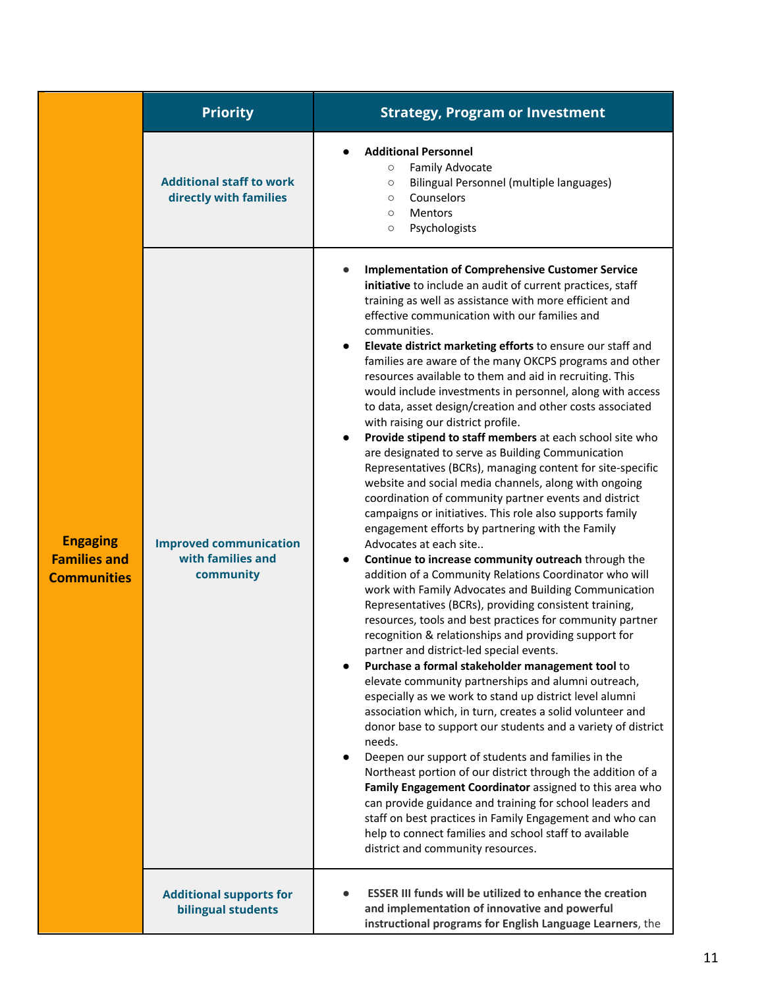|                                                              | <b>Priority</b>                                                 | <b>Strategy, Program or Investment</b>                                                                                                                                                                                                                                                                                                                                                                                                                                                                                                                                                                                                                                                                                                                                                                                                                                                                                                                                                                                                                                                                                                                                                                                                                                                                                                                                                                                                                                                                                                                                                                                                                                                                                                                                                                                                                                                                                                                                                                                                                                                                                                                                    |
|--------------------------------------------------------------|-----------------------------------------------------------------|---------------------------------------------------------------------------------------------------------------------------------------------------------------------------------------------------------------------------------------------------------------------------------------------------------------------------------------------------------------------------------------------------------------------------------------------------------------------------------------------------------------------------------------------------------------------------------------------------------------------------------------------------------------------------------------------------------------------------------------------------------------------------------------------------------------------------------------------------------------------------------------------------------------------------------------------------------------------------------------------------------------------------------------------------------------------------------------------------------------------------------------------------------------------------------------------------------------------------------------------------------------------------------------------------------------------------------------------------------------------------------------------------------------------------------------------------------------------------------------------------------------------------------------------------------------------------------------------------------------------------------------------------------------------------------------------------------------------------------------------------------------------------------------------------------------------------------------------------------------------------------------------------------------------------------------------------------------------------------------------------------------------------------------------------------------------------------------------------------------------------------------------------------------------------|
|                                                              | <b>Additional staff to work</b><br>directly with families       | <b>Additional Personnel</b><br>Family Advocate<br>$\circ$<br>Bilingual Personnel (multiple languages)<br>$\circ$<br>Counselors<br>$\circ$<br><b>Mentors</b><br>$\circ$<br>Psychologists<br>$\circ$                                                                                                                                                                                                                                                                                                                                                                                                                                                                                                                                                                                                                                                                                                                                                                                                                                                                                                                                                                                                                                                                                                                                                                                                                                                                                                                                                                                                                                                                                                                                                                                                                                                                                                                                                                                                                                                                                                                                                                        |
| <b>Engaging</b><br><b>Families and</b><br><b>Communities</b> | <b>Improved communication</b><br>with families and<br>community | <b>Implementation of Comprehensive Customer Service</b><br>initiative to include an audit of current practices, staff<br>training as well as assistance with more efficient and<br>effective communication with our families and<br>communities.<br>Elevate district marketing efforts to ensure our staff and<br>families are aware of the many OKCPS programs and other<br>resources available to them and aid in recruiting. This<br>would include investments in personnel, along with access<br>to data, asset design/creation and other costs associated<br>with raising our district profile.<br>Provide stipend to staff members at each school site who<br>are designated to serve as Building Communication<br>Representatives (BCRs), managing content for site-specific<br>website and social media channels, along with ongoing<br>coordination of community partner events and district<br>campaigns or initiatives. This role also supports family<br>engagement efforts by partnering with the Family<br>Advocates at each site<br>Continue to increase community outreach through the<br>addition of a Community Relations Coordinator who will<br>work with Family Advocates and Building Communication<br>Representatives (BCRs), providing consistent training,<br>resources, tools and best practices for community partner<br>recognition & relationships and providing support for<br>partner and district-led special events.<br>Purchase a formal stakeholder management tool to<br>elevate community partnerships and alumni outreach,<br>especially as we work to stand up district level alumni<br>association which, in turn, creates a solid volunteer and<br>donor base to support our students and a variety of district<br>needs.<br>Deepen our support of students and families in the<br>Northeast portion of our district through the addition of a<br>Family Engagement Coordinator assigned to this area who<br>can provide guidance and training for school leaders and<br>staff on best practices in Family Engagement and who can<br>help to connect families and school staff to available<br>district and community resources. |
|                                                              | <b>Additional supports for</b><br>bilingual students            | <b>ESSER III funds will be utilized to enhance the creation</b><br>and implementation of innovative and powerful<br>instructional programs for English Language Learners, the                                                                                                                                                                                                                                                                                                                                                                                                                                                                                                                                                                                                                                                                                                                                                                                                                                                                                                                                                                                                                                                                                                                                                                                                                                                                                                                                                                                                                                                                                                                                                                                                                                                                                                                                                                                                                                                                                                                                                                                             |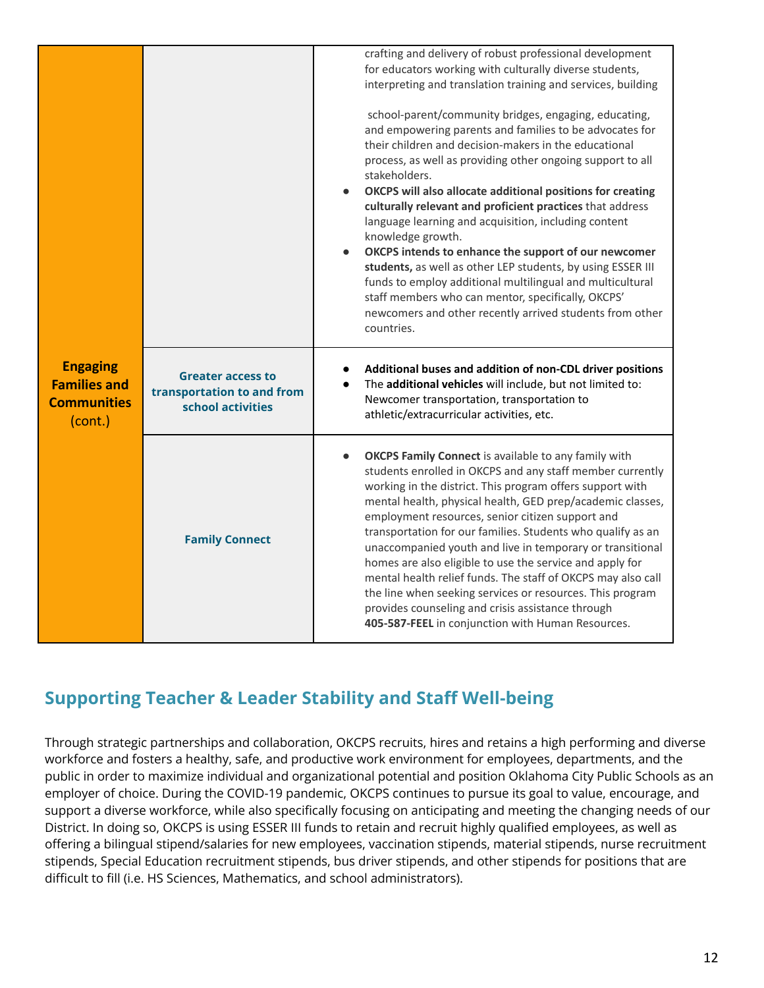|                                                                         |                                                                             | crafting and delivery of robust professional development<br>for educators working with culturally diverse students,<br>interpreting and translation training and services, building<br>school-parent/community bridges, engaging, educating,<br>and empowering parents and families to be advocates for<br>their children and decision-makers in the educational<br>process, as well as providing other ongoing support to all<br>stakeholders.<br>OKCPS will also allocate additional positions for creating<br>culturally relevant and proficient practices that address<br>language learning and acquisition, including content<br>knowledge growth.<br>OKCPS intends to enhance the support of our newcomer<br>students, as well as other LEP students, by using ESSER III<br>funds to employ additional multilingual and multicultural<br>staff members who can mentor, specifically, OKCPS'<br>newcomers and other recently arrived students from other<br>countries. |
|-------------------------------------------------------------------------|-----------------------------------------------------------------------------|-----------------------------------------------------------------------------------------------------------------------------------------------------------------------------------------------------------------------------------------------------------------------------------------------------------------------------------------------------------------------------------------------------------------------------------------------------------------------------------------------------------------------------------------------------------------------------------------------------------------------------------------------------------------------------------------------------------------------------------------------------------------------------------------------------------------------------------------------------------------------------------------------------------------------------------------------------------------------------|
| <b>Engaging</b><br><b>Families and</b><br><b>Communities</b><br>(cont.) | <b>Greater access to</b><br>transportation to and from<br>school activities | Additional buses and addition of non-CDL driver positions<br>The additional vehicles will include, but not limited to:<br>Newcomer transportation, transportation to<br>athletic/extracurricular activities, etc.                                                                                                                                                                                                                                                                                                                                                                                                                                                                                                                                                                                                                                                                                                                                                           |
|                                                                         | <b>Family Connect</b>                                                       | <b>OKCPS Family Connect</b> is available to any family with<br>students enrolled in OKCPS and any staff member currently<br>working in the district. This program offers support with<br>mental health, physical health, GED prep/academic classes,<br>employment resources, senior citizen support and<br>transportation for our families. Students who qualify as an<br>unaccompanied youth and live in temporary or transitional<br>homes are also eligible to use the service and apply for<br>mental health relief funds. The staff of OKCPS may also call<br>the line when seeking services or resources. This program<br>provides counseling and crisis assistance through<br>405-587-FEEL in conjunction with Human Resources.                                                                                                                                                                                                                                      |

#### **Supporting Teacher & Leader Stability and Staff Well-being**

Through strategic partnerships and collaboration, OKCPS recruits, hires and retains a high performing and diverse workforce and fosters a healthy, safe, and productive work environment for employees, departments, and the public in order to maximize individual and organizational potential and position Oklahoma City Public Schools as an employer of choice. During the COVID-19 pandemic, OKCPS continues to pursue its goal to value, encourage, and support a diverse workforce, while also specifically focusing on anticipating and meeting the changing needs of our District. In doing so, OKCPS is using ESSER III funds to retain and recruit highly qualified employees, as well as offering a bilingual stipend/salaries for new employees, vaccination stipends, material stipends, nurse recruitment stipends, Special Education recruitment stipends, bus driver stipends, and other stipends for positions that are difficult to fill (i.e. HS Sciences, Mathematics, and school administrators).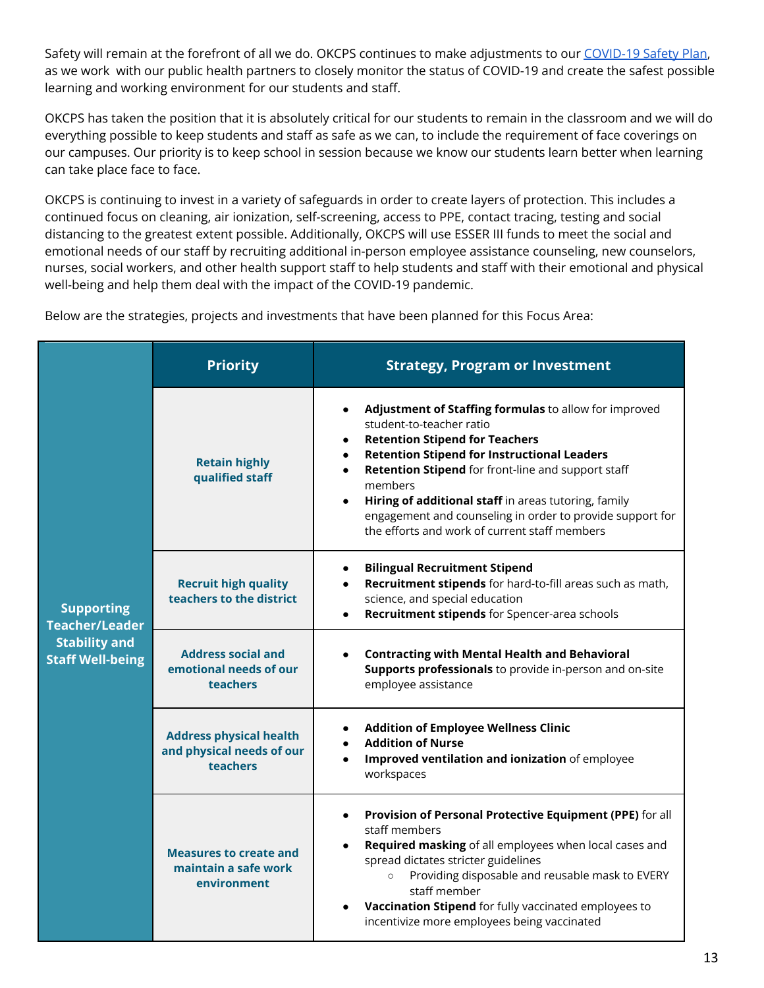Safety will remain at the forefront of all we do. OKCPS continues to make adjustments to our [COVID-19](https://www.okcps.org/domain/1574) Safety Plan, as we work with our public health partners to closely monitor the status of COVID-19 and create the safest possible learning and working environment for our students and staff.

OKCPS has taken the position that it is absolutely critical for our students to remain in the classroom and we will do everything possible to keep students and staff as safe as we can, to include the requirement of face coverings on our campuses. Our priority is to keep school in session because we know our students learn better when learning can take place face to face.

OKCPS is continuing to invest in a variety of safeguards in order to create layers of protection. This includes a continued focus on cleaning, air ionization, self-screening, access to PPE, contact tracing, testing and social distancing to the greatest extent possible. Additionally, OKCPS will use ESSER III funds to meet the social and emotional needs of our staff by recruiting additional in-person employee assistance counseling, new counselors, nurses, social workers, and other health support staff to help students and staff with their emotional and physical well-being and help them deal with the impact of the COVID-19 pandemic.

| <b>Supporting</b><br><b>Teacher/Leader</b><br><b>Stability and</b><br><b>Staff Well-being</b> | <b>Priority</b>                                                                | <b>Strategy, Program or Investment</b>                                                                                                                                                                                                                                                                                                                                                                                                                                                   |
|-----------------------------------------------------------------------------------------------|--------------------------------------------------------------------------------|------------------------------------------------------------------------------------------------------------------------------------------------------------------------------------------------------------------------------------------------------------------------------------------------------------------------------------------------------------------------------------------------------------------------------------------------------------------------------------------|
|                                                                                               | <b>Retain highly</b><br>qualified staff                                        | Adjustment of Staffing formulas to allow for improved<br>$\bullet$<br>student-to-teacher ratio<br><b>Retention Stipend for Teachers</b><br>$\bullet$<br><b>Retention Stipend for Instructional Leaders</b><br>$\bullet$<br>Retention Stipend for front-line and support staff<br>$\bullet$<br>members<br>Hiring of additional staff in areas tutoring, family<br>$\bullet$<br>engagement and counseling in order to provide support for<br>the efforts and work of current staff members |
|                                                                                               | <b>Recruit high quality</b><br>teachers to the district                        | <b>Bilingual Recruitment Stipend</b><br>$\bullet$<br>Recruitment stipends for hard-to-fill areas such as math,<br>$\bullet$<br>science, and special education<br>Recruitment stipends for Spencer-area schools                                                                                                                                                                                                                                                                           |
|                                                                                               | <b>Address social and</b><br>emotional needs of our<br><b>teachers</b>         | <b>Contracting with Mental Health and Behavioral</b><br>Supports professionals to provide in-person and on-site<br>employee assistance                                                                                                                                                                                                                                                                                                                                                   |
|                                                                                               | <b>Address physical health</b><br>and physical needs of our<br><b>teachers</b> | <b>Addition of Employee Wellness Clinic</b><br>٠<br><b>Addition of Nurse</b><br>Improved ventilation and ionization of employee<br>workspaces                                                                                                                                                                                                                                                                                                                                            |
|                                                                                               | <b>Measures to create and</b><br>maintain a safe work<br>environment           | Provision of Personal Protective Equipment (PPE) for all<br>$\bullet$<br>staff members<br>Required masking of all employees when local cases and<br>spread dictates stricter guidelines<br>Providing disposable and reusable mask to EVERY<br>$\circ$<br>staff member<br>Vaccination Stipend for fully vaccinated employees to<br>$\bullet$<br>incentivize more employees being vaccinated                                                                                               |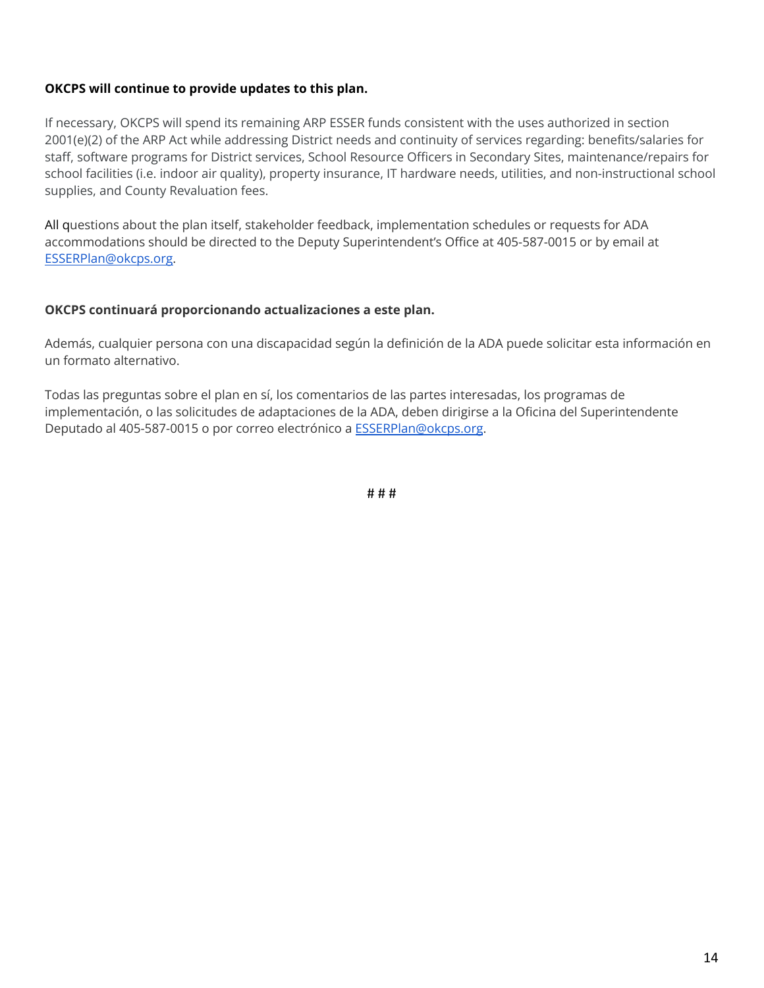#### **OKCPS will continue to provide updates to this plan.**

If necessary, OKCPS will spend its remaining ARP ESSER funds consistent with the uses authorized in section 2001(e)(2) of the ARP Act while addressing District needs and continuity of services regarding: benefits/salaries for staff, software programs for District services, School Resource Officers in Secondary Sites, maintenance/repairs for school facilities (i.e. indoor air quality), property insurance, IT hardware needs, utilities, and non-instructional school supplies, and County Revaluation fees.

All questions about the plan itself, stakeholder feedback, implementation schedules or requests for ADA accommodations should be directed to the Deputy Superintendent's Office at 405-587-0015 or by email at [ESSERPlan@okcps.org.](mailto:ESSERPlan@okcps.org)

#### **OKCPS continuará proporcionando actualizaciones a este plan.**

Además, cualquier persona con una discapacidad según la definición de la ADA puede solicitar esta información en un formato alternativo.

Todas las preguntas sobre el plan en sí, los comentarios de las partes interesadas, los programas de implementación, o las solicitudes de adaptaciones de la ADA, deben dirigirse a la Oficina del Superintendente Deputado al 405-587-0015 o por correo electrónico a **[ESSERPlan@okcps.org](mailto:ESSERPlan@okcps.org)**.

# # #